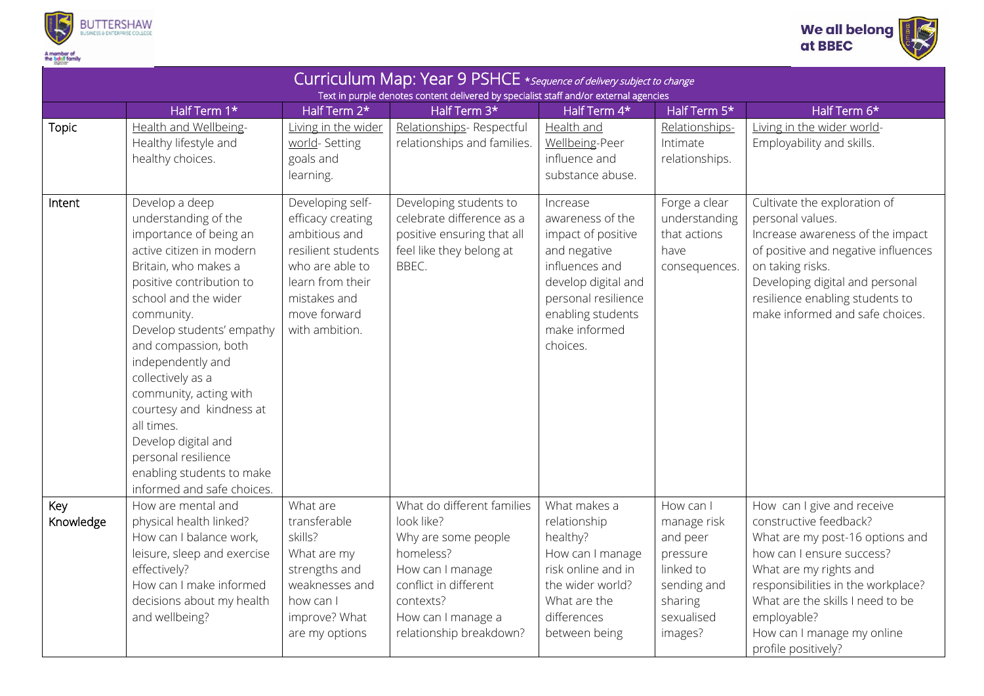



| Half Term 1*<br>Health and Wellbeing-<br><b>Topic</b><br>Healthy lifestyle and<br>healthy choices.                                                                                                                                                                                                                                                                                                                                                                           | Half Term 2*<br>Living in the wider<br>world-Setting<br>goals and<br>learning.                                                                                        | Text in purple denotes content delivered by specialist staff and/or external agencies<br>Half Term 3*<br>Relationships- Respectful<br>relationships and families.                       | Half Term 4*<br>Health and<br>Wellbeing-Peer<br>influence and<br>substance abuse.                                                                                                    | Half Term 5*<br>Relationships-<br>Intimate<br>relationships.                                                     | Half Term 6*<br>Living in the wider world-<br>Employability and skills.                                                                                                                                                                                               |
|------------------------------------------------------------------------------------------------------------------------------------------------------------------------------------------------------------------------------------------------------------------------------------------------------------------------------------------------------------------------------------------------------------------------------------------------------------------------------|-----------------------------------------------------------------------------------------------------------------------------------------------------------------------|-----------------------------------------------------------------------------------------------------------------------------------------------------------------------------------------|--------------------------------------------------------------------------------------------------------------------------------------------------------------------------------------|------------------------------------------------------------------------------------------------------------------|-----------------------------------------------------------------------------------------------------------------------------------------------------------------------------------------------------------------------------------------------------------------------|
|                                                                                                                                                                                                                                                                                                                                                                                                                                                                              |                                                                                                                                                                       |                                                                                                                                                                                         |                                                                                                                                                                                      |                                                                                                                  |                                                                                                                                                                                                                                                                       |
|                                                                                                                                                                                                                                                                                                                                                                                                                                                                              |                                                                                                                                                                       |                                                                                                                                                                                         |                                                                                                                                                                                      |                                                                                                                  |                                                                                                                                                                                                                                                                       |
| Develop a deep<br>Intent<br>understanding of the<br>importance of being an<br>active citizen in modern<br>Britain, who makes a<br>positive contribution to<br>school and the wider<br>community.<br>Develop students' empathy<br>and compassion, both<br>independently and<br>collectively as a<br>community, acting with<br>courtesy and kindness at<br>all times.<br>Develop digital and<br>personal resilience<br>enabling students to make<br>informed and safe choices. | Developing self-<br>efficacy creating<br>ambitious and<br>resilient students<br>who are able to<br>learn from their<br>mistakes and<br>move forward<br>with ambition. | Developing students to<br>celebrate difference as a<br>positive ensuring that all<br>feel like they belong at<br>BBEC.                                                                  | Increase<br>awareness of the<br>impact of positive<br>and negative<br>influences and<br>develop digital and<br>personal resilience<br>enabling students<br>make informed<br>choices. | Forge a clear<br>understanding<br>that actions<br>have<br>consequences.                                          | Cultivate the exploration of<br>personal values.<br>Increase awareness of the impact<br>of positive and negative influences<br>on taking risks.<br>Developing digital and personal<br>resilience enabling students to<br>make informed and safe choices.              |
| Key<br>How are mental and<br>Knowledge<br>physical health linked?<br>How can I balance work,<br>leisure, sleep and exercise<br>effectively?<br>How can I make informed<br>decisions about my health<br>and wellbeing?                                                                                                                                                                                                                                                        | What are<br>transferable<br>skills?<br>What are my<br>strengths and<br>weaknesses and<br>how can I<br>improve? What<br>are my options                                 | What do different families<br>look like?<br>Why are some people<br>homeless?<br>How can I manage<br>conflict in different<br>contexts?<br>How can I manage a<br>relationship breakdown? | What makes a<br>relationship<br>healthy?<br>How can I manage<br>risk online and in<br>the wider world?<br>What are the<br>differences<br>between being                               | How can I<br>manage risk<br>and peer<br>pressure<br>linked to<br>sending and<br>sharing<br>sexualised<br>images? | How can I give and receive<br>constructive feedback?<br>What are my post-16 options and<br>how can I ensure success?<br>What are my rights and<br>responsibilities in the workplace?<br>What are the skills I need to be<br>employable?<br>How can I manage my online |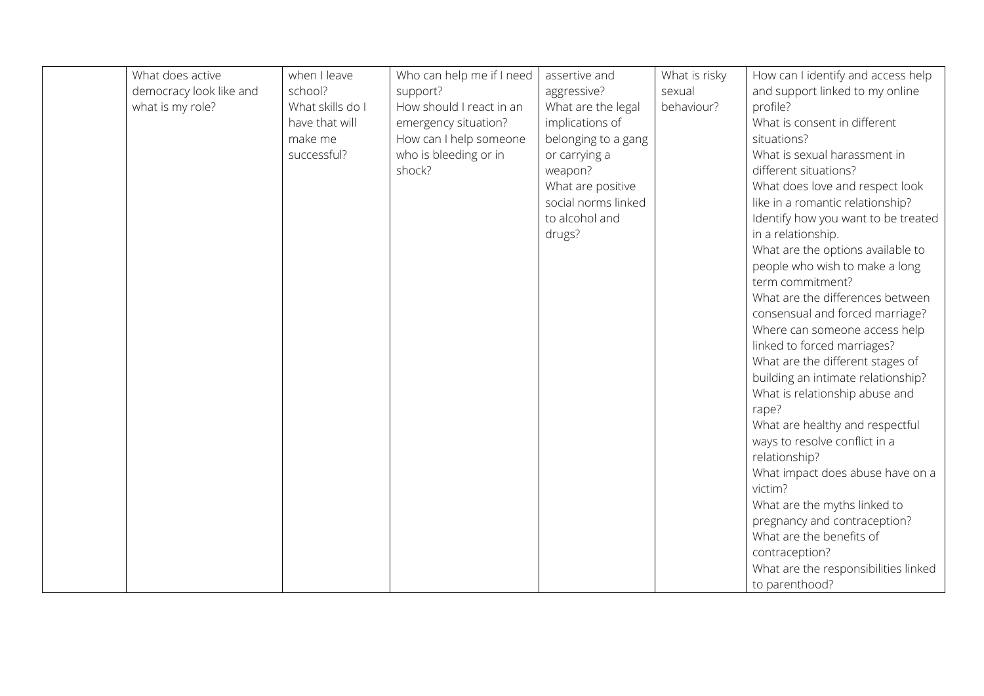| What does active        | when I leave     | Who can help me if I need | assertive and       | What is risky | How can I identify and access help                           |
|-------------------------|------------------|---------------------------|---------------------|---------------|--------------------------------------------------------------|
| democracy look like and | school?          | support?                  | aggressive?         | sexual        | and support linked to my online                              |
| what is my role?        | What skills do I | How should I react in an  | What are the legal  | behaviour?    | profile?                                                     |
|                         | have that will   | emergency situation?      | implications of     |               | What is consent in different                                 |
|                         | make me          | How can I help someone    | belonging to a gang |               | situations?                                                  |
|                         | successful?      | who is bleeding or in     | or carrying a       |               | What is sexual harassment in                                 |
|                         |                  | shock?                    | weapon?             |               | different situations?                                        |
|                         |                  |                           | What are positive   |               | What does love and respect look                              |
|                         |                  |                           | social norms linked |               | like in a romantic relationship?                             |
|                         |                  |                           | to alcohol and      |               | Identify how you want to be treated                          |
|                         |                  |                           | drugs?              |               | in a relationship.                                           |
|                         |                  |                           |                     |               | What are the options available to                            |
|                         |                  |                           |                     |               | people who wish to make a long                               |
|                         |                  |                           |                     |               | term commitment?                                             |
|                         |                  |                           |                     |               | What are the differences between                             |
|                         |                  |                           |                     |               | consensual and forced marriage?                              |
|                         |                  |                           |                     |               | Where can someone access help                                |
|                         |                  |                           |                     |               | linked to forced marriages?                                  |
|                         |                  |                           |                     |               | What are the different stages of                             |
|                         |                  |                           |                     |               | building an intimate relationship?                           |
|                         |                  |                           |                     |               | What is relationship abuse and                               |
|                         |                  |                           |                     |               | rape?                                                        |
|                         |                  |                           |                     |               | What are healthy and respectful                              |
|                         |                  |                           |                     |               | ways to resolve conflict in a                                |
|                         |                  |                           |                     |               | relationship?                                                |
|                         |                  |                           |                     |               | What impact does abuse have on a                             |
|                         |                  |                           |                     |               | victim?                                                      |
|                         |                  |                           |                     |               | What are the myths linked to<br>pregnancy and contraception? |
|                         |                  |                           |                     |               | What are the benefits of                                     |
|                         |                  |                           |                     |               | contraception?                                               |
|                         |                  |                           |                     |               | What are the responsibilities linked                         |
|                         |                  |                           |                     |               | to parenthood?                                               |